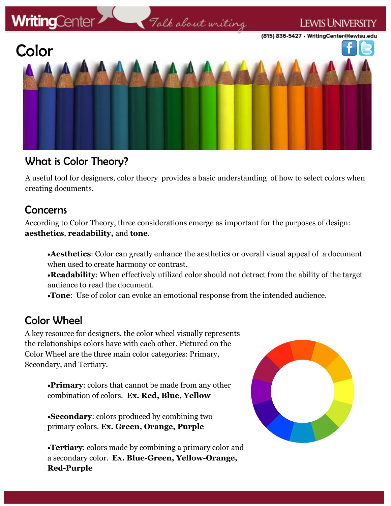

### What is Color Theory?

A useful tool for designers, color theory provides a basic understanding of how to select colors when creating documents.

### Concerns

According to Color Theory, three considerations emerge as important for the purposes of design: **aesthetics**, **readability,** and **tone**.

**Aesthetics**: Color can greatly enhance the aesthetics or overall visual appeal of a document when used to create harmony or contrast.

**Readability**: When effectively utilized color should not detract from the ability of the target audience to read the document.

**Tone**: Use of color can evoke an emotional response from the intended audience.

## Color Wheel

A key resource for designers, the color wheel visually represents the relationships colors have with each other. Pictured on the Color Wheel are the three main color categories: Primary, Secondary, and Tertiary.

> **Primary**: colors that cannot be made from any other combination of colors. **Ex. Red, Blue, Yellow**

**Secondary**: colors produced by combining two primary colors. **Ex. Green, Orange, Purple**

**Tertiary**: colors made by combining a primary color and a secondary color. **Ex. Blue-Green, Yellow-Orange, Red-Purple**

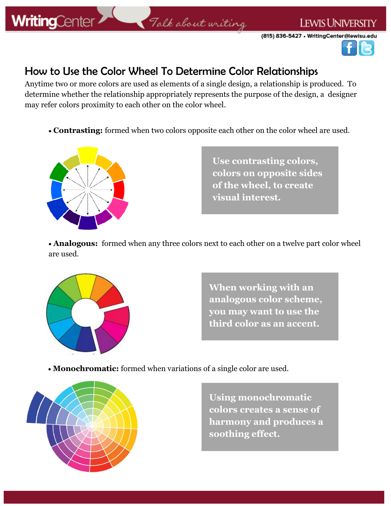# **WritingCenter**

#### **LEWIS UNIVERSITY**

(815) 836-5427 . WritingCenter@lewisu.edu



## How to Use the Color Wheel To Determine Color Relationships

Anytime two or more colors are used as elements of a single design, a relationship is produced. To determine whether the relationship appropriately represents the purpose of the design, a designer may refer colors proximity to each other on the color wheel.

Talk about writing

**Contrasting:** formed when two colors opposite each other on the color wheel are used.



**Use contrasting colors, colors on opposite sides of the wheel, to create visual interest.** 

 **Analogous:** formed when any three colors next to each other on a twelve part color wheel are used.



**When working with an analogous color scheme, you may want to use the third color as an accent.** 

**Monochromatic:** formed when variations of a single color are used.



**Using monochromatic colors creates a sense of harmony and produces a soothing effect.**